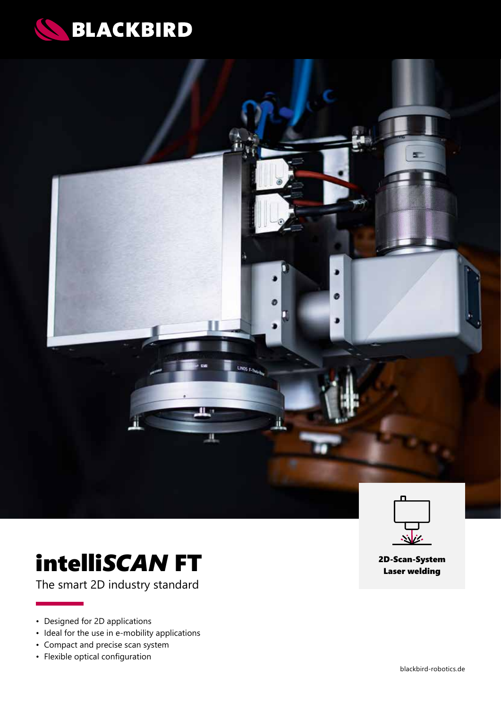





The smart 2D industry standard

- Designed for 2D applications
- Ideal for the use in e-mobility applications
- Compact and precise scan system
- Flexible optical configuration



2D-Scan-System Laser welding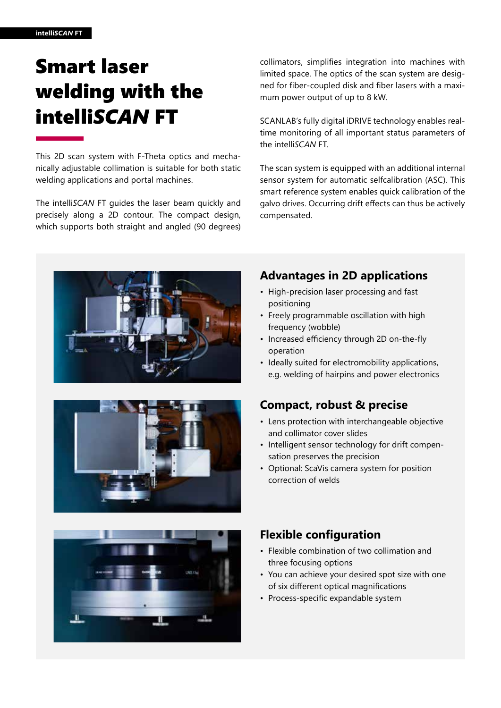#### **intelli***SCAN* **FT**

# Smart laser welding with the intelli*SCAN* FT

This 2D scan system with F-Theta optics and mechanically adjustable collimation is suitable for both static welding applications and portal machines.

The intelli*SCAN* FT guides the laser beam quickly and precisely along a 2D contour. The compact design, which supports both straight and angled (90 degrees) collimators, simplifies integration into machines with limited space. The optics of the scan system are designed for fiber-coupled disk and fiber lasers with a maximum power output of up to 8 kW.

SCANLAB's fully digital iDRIVE technology enables realtime monitoring of all important status parameters of the intelli*SCAN* FT.

The scan system is equipped with an additional internal sensor system for automatic selfcalibration (ASC). This smart reference system enables quick calibration of the galvo drives. Occurring drift effects can thus be actively compensated.







## **Advantages in 2D applications**

- High-precision laser processing and fast positioning
- Freely programmable oscillation with high frequency (wobble)
- Increased efficiency through 2D on-the-fly operation
- Ideally suited for electromobility applications, e.g. welding of hairpins and power electronics

## **Compact, robust & precise**

- Lens protection with interchangeable objective and collimator cover slides
- Intelligent sensor technology for drift compensation preserves the precision
- Optional: ScaVis camera system for position correction of welds

## **Flexible configuration**

- Flexible combination of two collimation and three focusing options
- You can achieve your desired spot size with one of six different optical magnifications
- Process-specific expandable system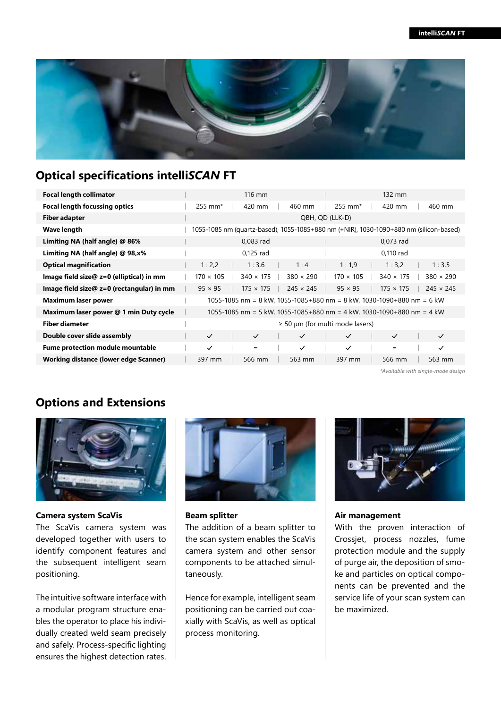

## **Optical specifications intelli***SCAN* **FT**

| <b>Focal length collimator</b>               |                  | $116$ mm         |                  |                                                                                         | $132 \text{ mm}$ |                  |
|----------------------------------------------|------------------|------------------|------------------|-----------------------------------------------------------------------------------------|------------------|------------------|
| <b>Focal length focussing optics</b>         | 255 mm*          | 420 mm           | 460 mm           | $255$ mm <sup>*</sup>                                                                   | 420 mm           | 460 mm           |
| <b>Fiber adapter</b>                         |                  |                  |                  | QBH, QD (LLK-D)                                                                         |                  |                  |
| <b>Wave length</b>                           |                  |                  |                  | 1055-1085 nm (quartz-based), 1055-1085+880 nm (+NIR), 1030-1090+880 nm (silicon-based)  |                  |                  |
| Limiting NA (half angle) $@$ 86%             |                  | 0,083 rad        |                  |                                                                                         | 0,073 rad        |                  |
| Limiting NA (half angle) $@$ 98, $x\%$       |                  | 0,125 rad        |                  |                                                                                         | 0,110 rad        |                  |
| <b>Optical magnification</b>                 | 1:2,2            | 1:3,6            | 1:4              | 1:1,9                                                                                   | 1:3,2            | 1:3.5            |
| Image field size@ z=0 (elliptical) in mm     | $170 \times 105$ | $340 \times 175$ | $380 \times 290$ | $170 \times 105$                                                                        | $340 \times 175$ | $380 \times 290$ |
| Image field size@ $z=0$ (rectangular) in mm  | $95 \times 95$   | $175 \times 175$ | $245 \times 245$ | $95 \times 95$                                                                          | $175 \times 175$ | $245 \times 245$ |
| <b>Maximum laser power</b>                   |                  |                  |                  | 1055-1085 nm = 8 kW, 1055-1085+880 nm = 8 kW, 1030-1090+880 nm = 6 kW                   |                  |                  |
| Maximum laser power @ 1 min Duty cycle       |                  |                  |                  | 1055-1085    nm = 5    kW, 1055-1085+880    nm = 4    kW, 1030-1090+880    nm = 4    kW |                  |                  |
| <b>Fiber diameter</b>                        |                  |                  |                  | $\geq$ 50 µm (for multi mode lasers)                                                    |                  |                  |
| Double cover slide assembly                  | $\checkmark$     | $\checkmark$     | $\checkmark$     | $\checkmark$                                                                            | $\checkmark$     | $\checkmark$     |
| <b>Fume protection module mountable</b>      | $\checkmark$     | -                | $\checkmark$     | $\checkmark$                                                                            | -                | $\checkmark$     |
| <b>Working distance (lower edge Scanner)</b> | 397 mm           | 566 mm           | 563 mm           | 397 mm                                                                                  | 566 mm           | 563 mm           |

*\*Available with single-mode design*

## **Options and Extensions**



#### **Camera system ScaVis**

The ScaVis camera system was developed together with users to identify component features and the subsequent intelligent seam positioning.

The intuitive software interface with a modular program structure enables the operator to place his individually created weld seam precisely and safely. Process-specific lighting ensures the highest detection rates.



**Beam splitter**

The addition of a beam splitter to the scan system enables the ScaVis camera system and other sensor components to be attached simultaneously.

Hence for example, intelligent seam positioning can be carried out coaxially with ScaVis, as well as optical process monitoring.



**Air management**

With the proven interaction of Crossjet, process nozzles, fume protection module and the supply of purge air, the deposition of smoke and particles on optical components can be prevented and the service life of your scan system can be maximized.